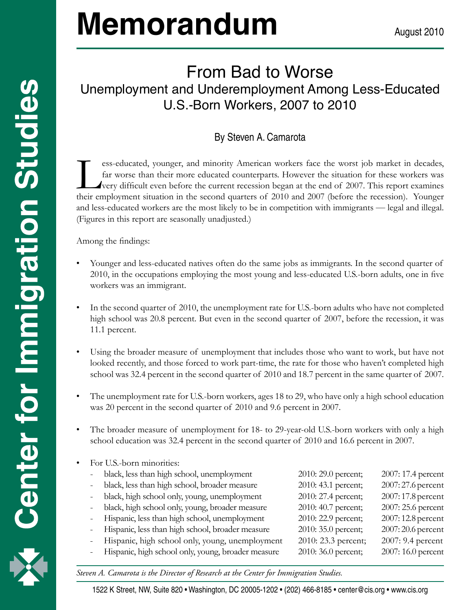# **Memorandum**

## From Bad to Worse Unemployment and Underemployment Among Less-Educated U.S.-Born Workers, 2007 to 2010

### By Steven A. Camarota

Europes-educated, younger, and minority American workers face the worst job market in decades,<br>far worse than their more educated counterparts. However the situation for these workers was<br>very difficult even before the cur far worse than their more educated counterparts. However the situation for these workers was very difficult even before the current recession began at the end of 2007. This report examines their employment situation in the second quarters of 2010 and 2007 (before the recession). Younger and less-educated workers are the most likely to be in competition with immigrants — legal and illegal. (Figures in this report are seasonally unadjusted.)

Among the findings:

- Younger and less-educated natives often do the same jobs as immigrants. In the second quarter of 2010, in the occupations employing the most young and less-educated U.S.-born adults, one in five workers was an immigrant.
- In the second quarter of 2010, the unemployment rate for U.S.-born adults who have not completed high school was 20.8 percent. But even in the second quarter of 2007, before the recession, it was 11.1 percent.
- Using the broader measure of unemployment that includes those who want to work, but have not looked recently, and those forced to work part-time, the rate for those who haven't completed high school was 32.4 percent in the second quarter of 2010 and 18.7 percent in the same quarter of 2007.
- The unemployment rate for U.S.-born workers, ages 18 to 29, who have only a high school education was 20 percent in the second quarter of 2010 and 9.6 percent in 2007.
- The broader measure of unemployment for 18- to 29-year-old U.S.-born workers with only a high school education was 32.4 percent in the second quarter of 2010 and 16.6 percent in 2007.
- For U.S.-born minorities:

| black, less than high school, unemployment         | 2010: 29.0 percent; | 2007: 17.4 percent |
|----------------------------------------------------|---------------------|--------------------|
| black, less than high school, broader measure      | 2010: 43.1 percent; | 2007: 27.6 percent |
| black, high school only, young, unemployment       | 2010: 27.4 percent; | 2007: 17.8 percent |
| black, high school only, young, broader measure    | 2010: 40.7 percent; | 2007: 25.6 percent |
| Hispanic, less than high school, unemployment      | 2010: 22.9 percent; | 2007: 12.8 percent |
| Hispanic, less than high school, broader measure   | 2010: 35.0 percent; | 2007: 20.6 percent |
| Hispanic, high school only, young, unemployment    | 2010: 23.3 percent; | 2007: 9.4 percent  |
| Hispanic, high school only, young, broader measure | 2010: 36.0 percent; | 2007: 16.0 percent |
|                                                    |                     |                    |

1 *Steven A. Camarota is the Director of Research at the Center for Immigration Studies.*

1522 K Street, NW, Suite 820 • Washington, DC 20005-1202 • (202) 466-8185 • center@cis.org • www.cis.org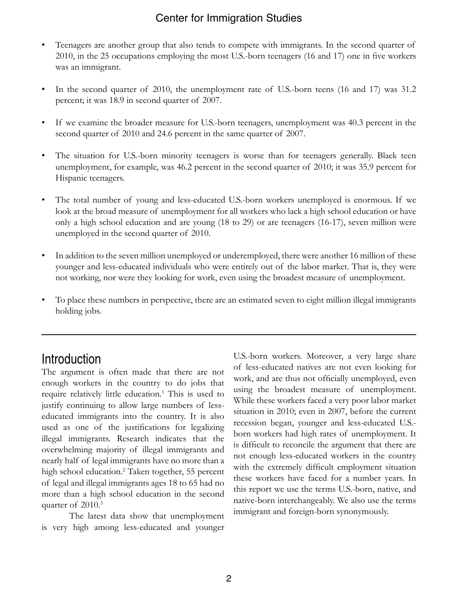#### Center for Immigration Studies

- Teenagers are another group that also tends to compete with immigrants. In the second quarter of 2010, in the 25 occupations employing the most U.S.-born teenagers (16 and 17) one in five workers was an immigrant.
- In the second quarter of 2010, the unemployment rate of U.S.-born teens (16 and 17) was 31.2 percent; it was 18.9 in second quarter of 2007.
- If we examine the broader measure for U.S.-born teenagers, unemployment was 40.3 percent in the second quarter of 2010 and 24.6 percent in the same quarter of 2007.
- The situation for U.S.-born minority teenagers is worse than for teenagers generally. Black teen unemployment, for example, was 46.2 percent in the second quarter of 2010; it was 35.9 percent for Hispanic teenagers.
- The total number of young and less-educated U.S.-born workers unemployed is enormous. If we look at the broad measure of unemployment for all workers who lack a high school education or have only a high school education and are young (18 to 29) or are teenagers (16-17), seven million were unemployed in the second quarter of 2010.
- In addition to the seven million unemployed or underemployed, there were another 16 million of these younger and less-educated individuals who were entirely out of the labor market. That is, they were not working, nor were they looking for work, even using the broadest measure of unemployment.
- To place these numbers in perspective, there are an estimated seven to eight million illegal immigrants holding jobs.

#### Introduction

The argument is often made that there are not enough workers in the country to do jobs that require relatively little education.<sup>1</sup> This is used to justify continuing to allow large numbers of lesseducated immigrants into the country. It is also used as one of the justifications for legalizing illegal immigrants. Research indicates that the overwhelming majority of illegal immigrants and nearly half of legal immigrants have no more than a high school education.2 Taken together, 55 percent of legal and illegal immigrants ages 18 to 65 had no more than a high school education in the second quarter of 2010.<sup>3</sup>

The latest data show that unemployment is very high among less-educated and younger U.S.-born workers. Moreover, a very large share of less-educated natives are not even looking for work, and are thus not officially unemployed, even using the broadest measure of unemployment. While these workers faced a very poor labor market situation in 2010; even in 2007, before the current recession began, younger and less-educated U.S. born workers had high rates of unemployment. It is difficult to reconcile the argument that there are not enough less-educated workers in the country with the extremely difficult employment situation these workers have faced for a number years. In this report we use the terms U.S.-born, native, and native-born interchangeably. We also use the terms immigrant and foreign-born synonymously.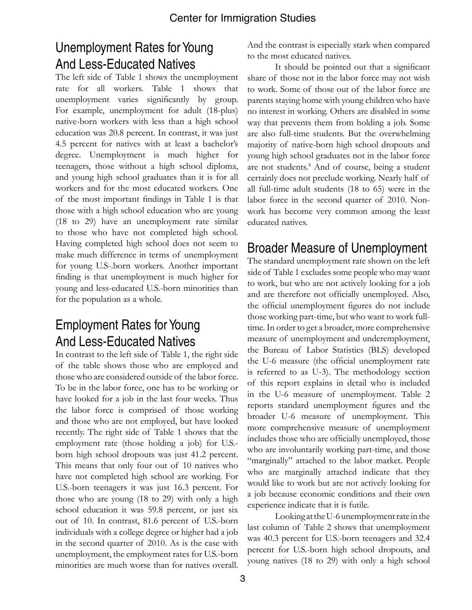## Unemployment Rates for Young And Less-Educated Natives

The left side of Table 1 shows the unemployment rate for all workers. Table 1 shows that unemployment varies significantly by group. For example, unemployment for adult (18-plus) native-born workers with less than a high school education was 20.8 percent. In contrast, it was just 4.5 percent for natives with at least a bachelor's degree. Unemployment is much higher for teenagers, those without a high school diploma, and young high school graduates than it is for all workers and for the most educated workers. One of the most important findings in Table 1 is that those with a high school education who are young (18 to 29) have an unemployment rate similar to those who have not completed high school. Having completed high school does not seem to make much difference in terms of unemployment for young U.S-.born workers. Another important finding is that unemployment is much higher for young and less-educated U.S.-born minorities than for the population as a whole.

## Employment Rates for Young And Less-Educated Natives

In contrast to the left side of Table 1, the right side of the table shows those who are employed and those who are considered outside of the labor force. To be in the labor force, one has to be working or have looked for a job in the last four weeks. Thus the labor force is comprised of those working and those who are not employed, but have looked recently. The right side of Table 1 shows that the employment rate (those holding a job) for U.S. born high school dropouts was just 41.2 percent. This means that only four out of 10 natives who have not completed high school are working. For U.S.-born teenagers it was just 16.3 percent. For those who are young (18 to 29) with only a high school education it was 59.8 percent, or just six out of 10. In contrast, 81.6 percent of U.S.-born individuals with a college degree or higher had a job in the second quarter of 2010. As is the case with unemployment, the employment rates for U.S.-born minorities are much worse than for natives overall.

And the contrast is especially stark when compared to the most educated natives.

It should be pointed out that a significant share of those not in the labor force may not wish to work. Some of those out of the labor force are parents staying home with young children who have no interest in working. Others are disabled in some way that prevents them from holding a job. Some are also full-time students. But the overwhelming majority of native-born high school dropouts and young high school graduates not in the labor force are not students.<sup>4</sup> And of course, being a student certainly does not preclude working. Nearly half of all full-time adult students (18 to 65) were in the labor force in the second quarter of 2010. Nonwork has become very common among the least educated natives.

## Broader Measure of Unemployment

The standard unemployment rate shown on the left side of Table 1 excludes some people who may want to work, but who are not actively looking for a job and are therefore not officially unemployed. Also, the official unemployment figures do not include those working part-time, but who want to work fulltime. In order to get a broader, more comprehensive measure of unemployment and underemployment, the Bureau of Labor Statistics (BLS) developed the U-6 measure (the official unemployment rate is referred to as U-3). The methodology section of this report explains in detail who is included in the U-6 measure of unemployment. Table 2 reports standard unemployment figures and the broader U-6 measure of unemployment. This more comprehensive measure of unemployment includes those who are officially unemployed, those who are involuntarily working part-time, and those "marginally" attached to the labor market. People who are marginally attached indicate that they would like to work but are not actively looking for a job because economic conditions and their own experience indicate that it is futile.

Looking at the U-6 unemployment rate in the last column of Table 2 shows that unemployment was 40.3 percent for U.S.-born teenagers and 32.4 percent for U.S.-born high school dropouts, and young natives (18 to 29) with only a high school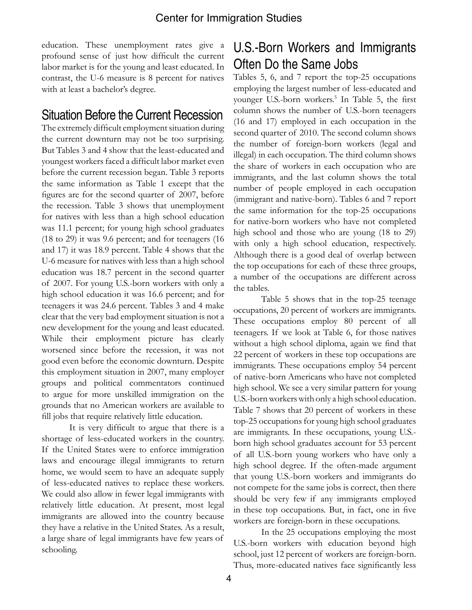education. These unemployment rates give a profound sense of just how difficult the current labor market is for the young and least educated. In contrast, the U-6 measure is 8 percent for natives with at least a bachelor's degree.

#### Situation Before the Current Recession

The extremely difficult employment situation during the current downturn may not be too surprising. But Tables 3 and 4 show that the least-educated and youngest workers faced a difficult labor market even before the current recession began. Table 3 reports the same information as Table 1 except that the figures are for the second quarter of 2007, before the recession. Table 3 shows that unemployment for natives with less than a high school education was 11.1 percent; for young high school graduates (18 to 29) it was 9.6 percent; and for teenagers (16 and 17) it was 18.9 percent. Table 4 shows that the U-6 measure for natives with less than a high school education was 18.7 percent in the second quarter of 2007. For young U.S.-born workers with only a high school education it was 16.6 percent; and for teenagers it was 24.6 percent. Tables 3 and 4 make clear that the very bad employment situation is not a new development for the young and least educated. While their employment picture has clearly worsened since before the recession, it was not good even before the economic downturn. Despite this employment situation in 2007, many employer groups and political commentators continued to argue for more unskilled immigration on the grounds that no American workers are available to fill jobs that require relatively little education.

It is very difficult to argue that there is a shortage of less-educated workers in the country. If the United States were to enforce immigration laws and encourage illegal immigrants to return home, we would seem to have an adequate supply of less-educated natives to replace these workers. We could also allow in fewer legal immigrants with relatively little education. At present, most legal immigrants are allowed into the country because they have a relative in the United States. As a result, a large share of legal immigrants have few years of schooling.

## U.S.-Born Workers and Immigrants Often Do the Same Jobs

Tables 5, 6, and 7 report the top-25 occupations employing the largest number of less-educated and younger U.S.-born workers.<sup>5</sup> In Table 5, the first column shows the number of U.S.-born teenagers (16 and 17) employed in each occupation in the second quarter of 2010. The second column shows the number of foreign-born workers (legal and illegal) in each occupation. The third column shows the share of workers in each occupation who are immigrants, and the last column shows the total number of people employed in each occupation (immigrant and native-born). Tables 6 and 7 report the same information for the top-25 occupations for native-born workers who have not completed high school and those who are young (18 to 29) with only a high school education, respectively. Although there is a good deal of overlap between the top occupations for each of these three groups, a number of the occupations are different across the tables.

Table 5 shows that in the top-25 teenage occupations, 20 percent of workers are immigrants. These occupations employ 80 percent of all teenagers. If we look at Table 6, for those natives without a high school diploma, again we find that 22 percent of workers in these top occupations are immigrants. These occupations employ 54 percent of native-born Americans who have not completed high school. We see a very similar pattern for young U.S.-born workers with only a high school education. Table 7 shows that 20 percent of workers in these top-25 occupations for young high school graduates are immigrants. In these occupations, young U.S. born high school graduates account for 53 percent of all U.S.-born young workers who have only a high school degree. If the often-made argument that young U.S.-born workers and immigrants do not compete for the same jobs is correct, then there should be very few if any immigrants employed in these top occupations. But, in fact, one in five workers are foreign-born in these occupations.

In the 25 occupations employing the most U.S.-born workers with education beyond high school, just 12 percent of workers are foreign-born. Thus, more-educated natives face significantly less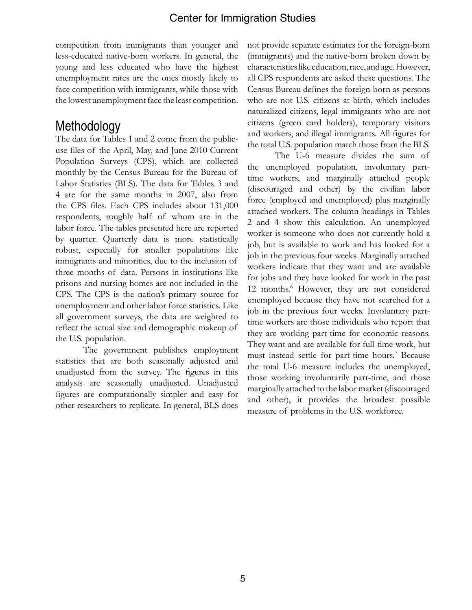competition from immigrants than younger and less-educated native-born workers. In general, the young and less educated who have the highest unemployment rates are the ones mostly likely to face competition with immigrants, while those with the lowest unemployment face the least competition.

## Methodology

The data for Tables 1 and 2 come from the publicuse files of the April, May, and June 2010 Current Population Surveys (CPS), which are collected monthly by the Census Bureau for the Bureau of Labor Statistics (BLS). The data for Tables 3 and 4 are for the same months in 2007, also from the CPS files. Each CPS includes about 131,000 respondents, roughly half of whom are in the labor force. The tables presented here are reported by quarter. Quarterly data is more statistically robust, especially for smaller populations like immigrants and minorities, due to the inclusion of three months of data. Persons in institutions like prisons and nursing homes are not included in the CPS. The CPS is the nation's primary source for unemployment and other labor force statistics. Like all government surveys, the data are weighted to reflect the actual size and demographic makeup of the U.S. population.

The government publishes employment statistics that are both seasonally adjusted and unadjusted from the survey. The figures in this analysis are seasonally unadjusted. Unadjusted figures are computationally simpler and easy for other researchers to replicate. In general, BLS does

not provide separate estimates for the foreign-born (immigrants) and the native-born broken down by characteristics like education, race, and age. However, all CPS respondents are asked these questions. The Census Bureau defines the foreign-born as persons who are not U.S. citizens at birth, which includes naturalized citizens, legal immigrants who are not citizens (green card holders), temporary visitors and workers, and illegal immigrants. All figures for the total U.S. population match those from the BLS.

The U-6 measure divides the sum of the unemployed population, involuntary parttime workers, and marginally attached people (discouraged and other) by the civilian labor force (employed and unemployed) plus marginally attached workers. The column headings in Tables 2 and 4 show this calculation. An unemployed worker is someone who does not currently hold a job, but is available to work and has looked for a job in the previous four weeks. Marginally attached workers indicate that they want and are available for jobs and they have looked for work in the past 12 months.<sup>6</sup> However, they are not considered unemployed because they have not searched for a job in the previous four weeks. Involuntary parttime workers are those individuals who report that they are working part-time for economic reasons. They want and are available for full-time work, but must instead settle for part-time hours.<sup>7</sup> Because the total U-6 measure includes the unemployed, those working involuntarily part-time, and those marginally attached to the labor market (discouraged and other), it provides the broadest possible measure of problems in the U.S. workforce.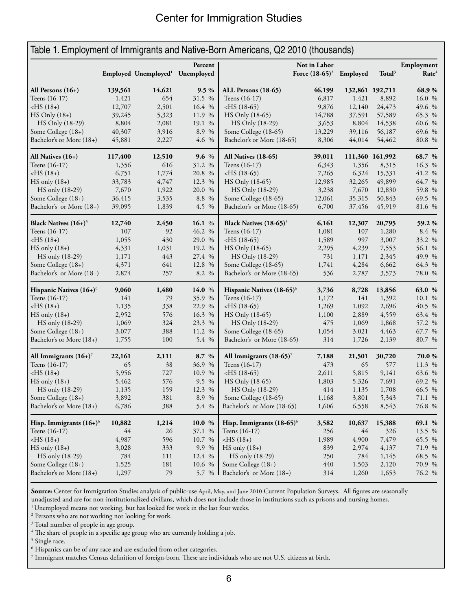| Table 1. Employment of Immigrants and Native-Born Americans, Q2 2010 (thousands) |         |                                             |         |                                       |                                            |        |                    |                                 |  |
|----------------------------------------------------------------------------------|---------|---------------------------------------------|---------|---------------------------------------|--------------------------------------------|--------|--------------------|---------------------------------|--|
|                                                                                  |         | Employed Unemployed <sup>1</sup> Unemployed | Percent |                                       | Not in Labor<br>Force $(18-65)^2$ Employed |        | Total <sup>3</sup> | Employment<br>Rate <sup>4</sup> |  |
| All Persons $(16+)$                                                              | 139,561 | 14,621                                      | 9.5%    | ALL Persons (18-65)                   | 46,199                                     |        | 132,861 192,711    | 68.9%                           |  |
| Teens (16-17)                                                                    | 1,421   | 654                                         | 31.5 %  | Teens (16-17)                         | 6,817                                      | 1,421  | 8,892              | 16.0 %                          |  |
| $-HS(18+)$                                                                       | 12,707  | 2,501                                       | 16.4 %  | $-HS(18-65)$                          | 9,876                                      | 12,140 | 24,473             | 49.6 %                          |  |
| $HS$ Only $(18+)$                                                                | 39,245  | 5,323                                       | 11.9 %  | HS Only (18-65)                       | 14,788                                     | 37,591 | 57,589             | 65.3 %                          |  |
| HS Only (18-29)                                                                  | 8,804   | 2,081                                       | 19.1 %  | HS Only (18-29)                       | 3,653                                      | 8,804  | 14,538             | 60.6 %                          |  |
| Some College (18+)                                                               | 40,307  | 3,916                                       | 8.9 %   | Some College (18-65)                  | 13,229                                     | 39,116 | 56,187             | 69.6 %                          |  |
| Bachelor's or More (18+)                                                         | 45,881  | 2,227                                       | 4.6 %   | Bachelor's or More (18-65)            | 8,306                                      | 44,014 | 54,462             | 80.8 %                          |  |
| All Natives $(16+)$                                                              | 117,400 | 12,510                                      | 9.6 $%$ | All Natives (18-65)                   | 39,011                                     |        | 111,360 161,992    | 68.7 %                          |  |
| Teens (16-17)                                                                    | 1,356   | 616                                         | 31.2 %  | Teens (16-17)                         | 6,343                                      | 1,356  | 8,315              | 16.3 %                          |  |
| $-HS(18+)$                                                                       | 6,751   | 1,774                                       | 20.8 %  | $-HS(18-65)$                          | 7,265                                      | 6,324  | 15,331             | 41.2 %                          |  |
| $HS$ only $(18+)$                                                                | 33,783  | 4,747                                       | 12.3 %  | HS Only (18-65)                       | 12,985                                     | 32,265 | 49,899             | 64.7 %                          |  |
| HS only (18-29)                                                                  | 7,670   | 1,922                                       | 20.0 %  | HS Only (18-29)                       | 3,238                                      | 7,670  | 12,830             | 59.8 %                          |  |
| Some College (18+)                                                               | 36,415  | 3,535                                       | 8.8 %   | Some College (18-65)                  | 12,061                                     | 35,315 | 50,843             | 69.5 %                          |  |
| Bachelor's or More (18+)                                                         | 39,095  | 1,839                                       | 4.5 %   | Bachelor's or More (18-65)            | 6,700                                      | 37,456 | 45,919             | 81.6 %                          |  |
| Black Natives $(16+)^5$                                                          | 12,740  | 2,450                                       | 16.1 %  | Black Natives (18-65) <sup>5</sup>    | 6,161                                      | 12,307 | 20,795             | 59.2%                           |  |
| Teens (16-17)                                                                    | 107     | 92                                          | 46.2 %  | Teens (16-17)                         | 1,081                                      | 107    | 1,280              | 8.4 %                           |  |
| $-HS(18+)$                                                                       | 1,055   | 430                                         | 29.0 %  | $-HS(18-65)$                          | 1,589                                      | 997    | 3,007              | 33.2 %                          |  |
| $HS$ only $(18+)$                                                                | 4,331   | 1,031                                       | 19.2 %  | HS Only (18-65)                       | 2,295                                      | 4,239  | 7,553              | 56.1 %                          |  |
| HS only (18-29)                                                                  | 1,171   | 443                                         | 27.4 %  | HS Only (18-29)                       | 731                                        | 1,171  | 2,345              | 49.9 %                          |  |
| Some College (18+)                                                               | 4,371   | 641                                         | 12.8 %  | Some College (18-65)                  | 1,741                                      | 4,284  | 6,662              | 64.3 %                          |  |
| Bachelor's or More (18+)                                                         | 2,874   | 257                                         | 8.2 %   | Bachelor's or More (18-65)            | 536                                        | 2,787  | 3,573              | 78.0 %                          |  |
| Hispanic Natives $(16+)$ <sup>6</sup>                                            | 9,060   | 1,480                                       | 14.0 %  | Hispanic Natives (18-65) <sup>6</sup> | 3,736                                      | 8,728  | 13,856             | 63.0 %                          |  |
| Teens (16-17)                                                                    | 141     | 79                                          | 35.9 %  | Teens (16-17)                         | 1,172                                      | 141    | 1,392              | 10.1 %                          |  |
| $-HS(18+)$                                                                       | 1,135   | 338                                         | 22.9 %  | $-HS(18-65)$                          | 1,269                                      | 1,092  | 2,696              | 40.5 %                          |  |
| $HS$ only $(18+)$                                                                | 2,952   | 576                                         | 16.3 %  | HS Only (18-65)                       | 1,100                                      | 2,889  | 4,559              | 63.4 %                          |  |
| HS only (18-29)                                                                  | 1,069   | 324                                         | 23.3 %  | HS Only (18-29)                       | 475                                        | 1,069  | 1,868              | 57.2 %                          |  |
| Some College (18+)                                                               | 3,077   | 388                                         | 11.2 %  | Some College (18-65)                  | 1,054                                      | 3,021  | 4,463              | 67.7 %                          |  |
| Bachelor's or More (18+)                                                         | 1,755   | 100                                         | 5.4 %   | Bachelor's or More (18-65)            | 314                                        | 1,726  | 2,139              | 80.7 %                          |  |
| All Immigrants $(16+)$ <sup>7</sup>                                              | 22,161  | 2,111                                       | 8.7 %   | All Immigrants (18-65) <sup>7</sup>   | 7,188                                      | 21,501 | 30,720             | 70.0%                           |  |
| Teens (16-17)                                                                    | 65      | 38                                          | 36.9 %  | Teens (16-17)                         | 473                                        | 65     | 577                | 11.3 %                          |  |
| $-HS(18+)$                                                                       | 5,956   | 727                                         | 10.9 %  | $-HS(18-65)$                          | 2,611                                      | 5,815  | 9,141              | 63.6 %                          |  |
| $HS only (18+)$                                                                  | 5,462   | 576                                         | 9.5 %   | HS Only (18-65)                       | 1,803                                      | 5,326  | 7,691              | 69.2 %                          |  |
| HS only (18-29)                                                                  | 1,135   | 159                                         | 12.3 %  | HS Only (18-29)                       | 414                                        | 1,135  | 1,708              | 66.5 %                          |  |
| Some College (18+)                                                               | 3,892   | 381                                         | 8.9 %   | Some College (18-65)                  | 1,168                                      | 3,801  | 5,343              | 71.1 %                          |  |
| Bachelor's or More (18+)                                                         | 6,786   | 388                                         | 5.4 %   | Bachelor's or More (18-65)            | 1,606                                      | 6,558  | 8,543              | 76.8 %                          |  |
| Hisp. Immigrants $(16+)$ <sup>6</sup>                                            | 10,882  | 1,214                                       | 10.0 %  | Hisp. Immigrants (18-65) <sup>6</sup> | 3,582                                      | 10,637 | 15,388             | 69.1 %                          |  |
| Teens (16-17)                                                                    | 44      | 26                                          | 37.1 %  | Teens (16-17)                         | 256                                        | 44     | 326                | 13.5 %                          |  |
| $-HS(18+)$                                                                       | 4,987   | 596                                         | 10.7 %  | $-HS(18+)$                            | 1,989                                      | 4,900  | 7,479              | 65.5 %                          |  |
| $HS only (18+)$                                                                  | 3,028   | 333                                         | 9.9 %   | $HS$ only $(18+)$                     | 839                                        | 2,974  | 4,137              | 71.9 %                          |  |
| HS only (18-29)                                                                  | 784     | 111                                         | 12.4 %  | HS only (18-29)                       | 250                                        | 784    | 1,145              | 68.5 %                          |  |
| Some College (18+)                                                               | 1,525   | 181                                         | 10.6 %  | Some College (18+)                    | 440                                        | 1,503  | 2,120              | 70.9 %                          |  |
| Bachelor's or More (18+)                                                         | 1,297   | 79                                          |         | 5.7 % Bachelor's or More $(18+)$      | 314                                        | 1,260  | 1,653              | 76.2 %                          |  |

Source: Center for Immigration Studies analysis of public-use April, May, and June 2010 Current Population Surveys. All figures are seasonally unadjusted and are for non-institutionalized civilians, which does not include those in institutions such as prisons and nursing homes.<br><sup>1</sup> Unemployed means not working, but has looked for work in the last four weeks.

 $2$  Persons who are not working nor looking for work.<br> $3$  Total number of people in are group.

<sup>3</sup> Total number of people in age group.

<sup>4</sup> The share of people in a specific age group who are currently holding a job.

 $^5$  Single race.<br> $^6$  Hispanics co

<sup>6</sup> Hispanics can be of any race and are excluded from other categories.

 $^7$  Immigrant matches Census definition of foreign-born. These are individuals who are not U.S. citizens at birth.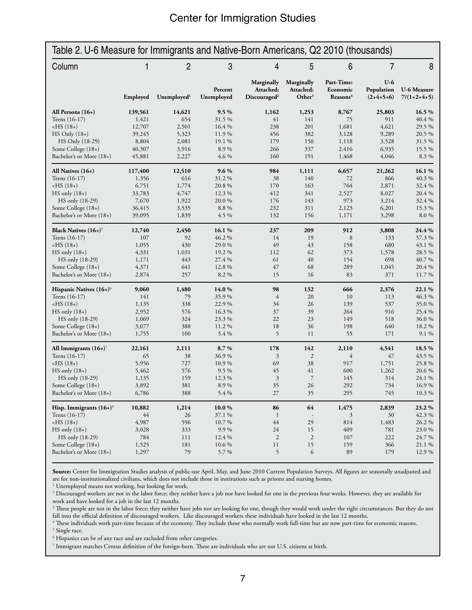| Table 2. U-6 Measure for Immigrants and Native-Born Americans, Q2 2010 (thousands) |          |                         |                       |                                                     |                                               |                                                |                                    |                                     |
|------------------------------------------------------------------------------------|----------|-------------------------|-----------------------|-----------------------------------------------------|-----------------------------------------------|------------------------------------------------|------------------------------------|-------------------------------------|
| Column                                                                             | 1        | 2                       | 3                     | 4                                                   | 5                                             | 6                                              | 7                                  | 8                                   |
|                                                                                    | Employed | Unemployed <sup>1</sup> | Percent<br>Unemployed | Marginally<br>Attached:<br>Discouraged <sup>2</sup> | Marginally<br>Attached:<br>Other <sup>3</sup> | Part-Time:<br>Economic<br>Reasons <sup>4</sup> | $U-6$<br>Population<br>$(2+4+5+6)$ | <b>U-6 Measure</b><br>$7/(1+2+4+5)$ |
| All Persons $(16+)$                                                                | 139,561  | 14,621                  | $9.5\%$               | 1,162                                               | 1,253                                         | 8,767                                          | 25,803                             | 16.5 %                              |
| Teens (16-17)                                                                      | 1,421    | 654                     | 31.5%                 | 41                                                  | 141                                           | 75                                             | 911                                | 40.4 %                              |
| $-HS(18+)$                                                                         | 12,707   | 2,501                   | 16.4 %                | 238                                                 | 201                                           | 1,681                                          | 4,621                              | 29.5 %                              |
| $HS$ Only $(18+)$                                                                  | 39,245   | 5,323                   | 11.9 %                | 456                                                 | 382                                           | 3,128                                          | 9,289                              | 20.5 %                              |
| HS Only (18-29)                                                                    | 8,804    | 2,081                   | 19.1 %                | 179                                                 | 150                                           | 1,118                                          | 3,528                              | 31.5 %                              |
| Some College (18+)                                                                 | 40,307   | 3,916                   | 8.9%                  | 266                                                 | 337                                           | 2,416                                          | 6,935                              | 15.5 %                              |
| Bachelor's or More (18+)                                                           | 45,881   | 2,227                   | 4.6 %                 | 160                                                 | 191                                           | 1,468                                          | 4,046                              | 8.3 %                               |
| All Natives $(16+)$                                                                | 117,400  | 12,510                  | $9.6\%$               | 984                                                 | 1,111                                         | 6,657                                          | 21,262                             | 16.1%                               |
| Teens (16-17)                                                                      | 1,356    | 616                     | 31.2%                 | 38                                                  | 140                                           | 72                                             | 866                                | 40.3%                               |
| $-HS(18+)$                                                                         | 6,751    | 1,774                   | 20.8%                 | 170                                                 | 163                                           | 764                                            | 2,871                              | 32.4 %                              |
| $HS$ only $(18+)$                                                                  | 33,783   | 4,747                   | 12.3 %                | 412                                                 | 341                                           | 2,527                                          | 8,027                              | 20.4 %                              |
| HS only (18-29)                                                                    | 7,670    | 1,922                   | 20.0%                 | 176                                                 | 143                                           | 973                                            | 3,214                              | 32.4 %                              |
| Some College (18+)                                                                 | 36,415   | 3,535                   | 8.8 %                 | 232                                                 | 311                                           | 2,123                                          | 6,201                              | 15.3 %                              |
| Bachelor's or More (18+)                                                           | 39,095   | 1,839                   | 4.5 %                 | 132                                                 | 156                                           | 1,171                                          | 3,298                              | 8.0%                                |
| Black Natives (16+) <sup>5</sup>                                                   | 12,740   | 2,450                   | 16.1%                 | 237                                                 | 209                                           | 912                                            | 3,808                              | 24.4 %                              |
| Teens (16-17)                                                                      | 107      | 92                      | 46.2 %                | 14                                                  | 19                                            | 8                                              | 133                                | 57.3 %                              |
| $-HS(18+)$                                                                         | 1,055    | 430                     | 29.0%                 | 49                                                  | 43                                            | 158                                            | 680                                | 43.1 %                              |
| $HS$ only $(18+)$                                                                  | 4,331    | 1,031                   | 19.2 %                | 112                                                 | 62                                            | 373                                            | 1,578                              | 28.5 %                              |
| HS only (18-29)                                                                    | 1,171    | 443                     | 27.4 %                | 61                                                  | 40                                            | 154                                            | 698                                | 40.7%                               |
| Some College (18+)                                                                 | 4,371    | 641                     | 12.8 %                | 47                                                  | 68                                            | 289                                            | 1,045                              | 20.4 %                              |
| Bachelor's or More (18+)                                                           | 2,874    | 257                     | 8.2%                  | 15                                                  | 16                                            | 83                                             | 371                                | 11.7 %                              |
| Hispanic Natives $(16+)^\circ$                                                     | 9,060    | 1,480                   | 14.0%                 | 98                                                  | 132                                           | 666                                            | 2,376                              | 22.1 %                              |
| Teens $(16-17)$                                                                    | 141      | 79                      | 35.9%                 | $\overline{4}$                                      | 20                                            | 10                                             | 113                                | 46.3 %                              |
| $-HS(18+)$                                                                         | 1,135    | 338                     | 22.9 %                | 34                                                  | 26                                            | 139                                            | 537                                | 35.0%                               |
| $HS$ only $(18+)$                                                                  | 2,952    | 576                     | 16.3 %                | 37                                                  | 39                                            | 264                                            | 916                                | 25.4 %                              |
| HS only (18-29)                                                                    | 1,069    | 324                     | 23.3 %                | 22                                                  | 23                                            | 149                                            | 518                                | 36.0%                               |
| Some College (18+)                                                                 | 3,077    | 388                     | 11.2 %                | 18                                                  | 36                                            | 198                                            | 640                                | 18.2%                               |
| Bachelor's or More (18+)                                                           | 1,755    | 100                     | 5.4 %                 | 5                                                   | 11                                            | 55                                             | 171                                | 9.1 %                               |
| All Immigrants $(16+)$ <sup>7</sup>                                                | 22,161   | 2,111                   | 8.7%                  | 178                                                 | 142                                           | 2,110                                          | 4,541                              | 18.5 %                              |
| Teens (16-17)                                                                      | 65       | 38                      | 36.9%                 | 3                                                   | $\overline{2}$                                | 4                                              | 47                                 | 43.5 %                              |
| $-HS(18+)$                                                                         | 5,956    | 727                     | 10.9%                 | 69                                                  | 38                                            | 917                                            | 1,751                              | 25.8%                               |
| $HS$ only $(18+)$                                                                  | 5,462    | 576                     | $9.5\%$               | 45                                                  | 41                                            | 600                                            | 1,262                              | 20.6%                               |
| HS only (18-29)                                                                    | 1,135    | 159                     | 12.3 %                | 3                                                   | $\overline{7}$                                | 145                                            | 314                                | 24.1 %                              |
| Some College (18+)                                                                 | 3,892    | 381                     | $8.9\ \%$             | 35                                                  | 26                                            | 292                                            | 734                                | 16.9%                               |
| Bachelor's or More (18+)                                                           | 6,786    | 388                     | 5.4 %                 | 27                                                  | 35                                            | 295                                            | 745                                | 10.3%                               |
| Hisp. Immigrants $(16+)$ <sup>6</sup>                                              | 10,882   | 1,214                   | 10.0%                 | 86                                                  | 64                                            | 1,475                                          | 2,839                              | 23.2 %                              |
| Teens (16-17)                                                                      | 44       | 26                      | 37.1 %                | $\mathbf{1}$                                        |                                               | 3                                              | 30                                 | 42.3%                               |
| $-HS(18+)$                                                                         | 4,987    | 596                     | 10.7%                 | $44$                                                | 29                                            | 814                                            | 1,483                              | 26.2 %                              |
| $HS$ only $(18+)$                                                                  | 3,028    | 333                     | 9.9%                  | 24                                                  | 15                                            | 409                                            | 781                                | 23.0%                               |
| HS only (18-29)                                                                    | 784      | 111                     | 12.4 %                | $\sqrt{2}$                                          | $\overline{c}$                                | 107                                            | 222                                | 24.7 %                              |
| Some College (18+)                                                                 | 1,525    | 181                     | 10.6%                 | 11                                                  | 15                                            | 159                                            | 366                                | 21.1%                               |
| Bachelor's or More (18+)                                                           | 1,297    | 79                      | 5.7%                  | 5                                                   | 6                                             | 89                                             | 179                                | 12.9%                               |

**Source:** Center for Immigration Studies analysis of public-use April, May, and June 2010 Current Population Surveys. All figures are seasonally unadjusted and are for non-institutionalized civilians, which does not include those in institutions such as prisons and nursing homes. 1

<sup>1</sup> Unemployed means not working, but looking for work.

<sup>2</sup> Discouraged workers are not in the labor force; they neither have a job nor have looked for one in the previous four weeks. However, they are available for work and have looked for a job in the last 12 months.

 $3$  These people are not in the labor force; they neither have jobs nor are looking for one, though they would work under the right circumstances. But they do not fall into the official definition of discouraged workers. Like discouraged workers these individuals have looked in the last 12 months.

4 These individuals work part-time because of the economy. They include those who normally work full-time but are now part-time for economic reasons. <sup>5</sup> Single race.

6 Hispanics can be of any race and are excluded from other categories.

7 Immigrant matches Census definition of the foreign-born. These are individuals who are not U.S. citizens at birth.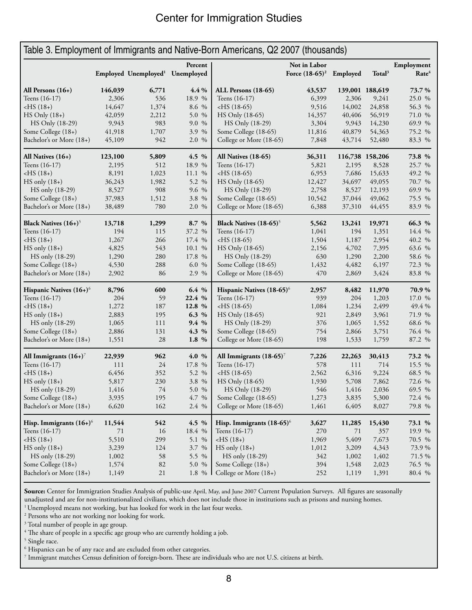#### Center for Immigration Studies

| Table 3. Employment of Immigrants and Native-Born Americans, Q2 2007 (thousands) |         |                                  |                       |                                       |                                            |                 |                    |                                 |  |
|----------------------------------------------------------------------------------|---------|----------------------------------|-----------------------|---------------------------------------|--------------------------------------------|-----------------|--------------------|---------------------------------|--|
|                                                                                  |         | Employed Unemployed <sup>1</sup> | Percent<br>Unemployed |                                       | Not in Labor<br>Force $(18-65)^2$ Employed |                 | Total <sup>3</sup> | Employment<br>Rate <sup>4</sup> |  |
| All Persons $(16+)$                                                              | 146,039 | 6,771                            | 4.4 %                 | ALL Persons (18-65)                   | 43,537                                     | 139,001 188,619 |                    | 73.7%                           |  |
| Teens (16-17)                                                                    | 2,306   | 536                              | 18.9 %                | Teens (16-17)                         | 6,399                                      | 2,306           | 9,241              | 25.0 %                          |  |
| $-HS(18+)$                                                                       | 14,647  | 1,374                            | 8.6 %                 | $-HS(18-65)$                          | 9,516                                      | 14,002          | 24,858             | 56.3 %                          |  |
| $HS$ Only $(18+)$                                                                | 42,059  | 2,212                            | 5.0 %                 | HS Only (18-65)                       | 14,357                                     | 40,406          | 56,919             | 71.0 %                          |  |
| HS Only (18-29)                                                                  | 9,943   | 983                              | 9.0 %                 | HS Only (18-29)                       | 3,304                                      | 9,943           | 14,230             | 69.9 %                          |  |
| Some College (18+)                                                               | 41,918  | 1,707                            | 3.9 %                 | Some College (18-65)                  | 11,816                                     | 40,879          | 54,363             | 75.2 %                          |  |
| Bachelor's or More (18+)                                                         | 45,109  | 942                              | 2.0 %                 | College or More (18-65)               | 7,848                                      | 43,714          | 52,480             | 83.3 %                          |  |
| All Natives $(16+)$                                                              | 123,100 | 5,809                            | 4.5 %                 | All Natives (18-65)                   | 36,311                                     | 116,738 158,206 |                    | 73.8 %                          |  |
| Teens (16-17)                                                                    | 2,195   | 512                              | 18.9 %                | Teens (16-17)                         | 5,821                                      | 2,195           | 8,528              | 25.7 %                          |  |
| $-HS(18+)$                                                                       | 8,191   | 1,023                            | 11.1 %                | $-HS(18-65)$                          | 6,953                                      | 7,686           | 15,633             | 49.2 %                          |  |
| $HS$ only $(18+)$                                                                | 36,243  | 1,982                            | 5.2 %                 | HS Only (18-65)                       | 12,427                                     | 34,697          | 49,055             | 70.7 %                          |  |
| HS only (18-29)                                                                  | 8,527   | 908                              | 9.6 %                 | HS Only (18-29)                       | 2,758                                      | 8,527           | 12,193             | 69.9 %                          |  |
| Some College (18+)                                                               | 37,983  | 1,512                            | 3.8<br>$\%$           | Some College (18-65)                  | 10,542                                     | 37,044          | 49,062             | 75.5 %                          |  |
| Bachelor's or More (18+)                                                         | 38,489  | 780                              | 2.0 %                 | College or More (18-65)               | 6,388                                      | 37,310          | 44,455             | 83.9 %                          |  |
| Black Natives $(16+)$ <sup>5</sup>                                               | 13,718  | 1,299                            | 8.7 %                 | Black Natives (18-65) <sup>5</sup>    | 5,562                                      | 13,241          | 19,971             | 66.3 %                          |  |
| Teens (16-17)                                                                    | 194     | 115                              | 37.2 %                | Teens (16-17)                         | 1,041                                      | 194             | 1,351              | 14.4 %                          |  |
| $-HS(18+)$                                                                       | 1,267   | 266                              | 17.4 %                | $-HS(18-65)$                          | 1,504                                      | 1,187           | 2,954              | 40.2 %                          |  |
| $HS$ only $(18+)$                                                                | 4,825   | 543                              | 10.1 %                | HS Only (18-65)                       | 2,156                                      | 4,702           | 7,395              | 63.6 %                          |  |
| HS only (18-29)                                                                  | 1,290   | 280                              | 17.8 %                | HS Only (18-29)                       | 630                                        | 1,290           | 2,200              | 58.6 %                          |  |
| Some College (18+)                                                               | 4,530   | 288                              | 6.0<br>$\%$           | Some College (18-65)                  | 1,432                                      | 4,482           | 6,197              | 72.3 %                          |  |
| Bachelor's or More (18+)                                                         | 2,902   | 86                               | 2.9 %                 | College or More (18-65)               | 470                                        | 2,869           | 3,424              | 83.8 %                          |  |
| Hispanic Natives (16+) <sup>6</sup>                                              | 8,796   | 600                              | 6.4 %                 | Hispanic Natives (18-65) <sup>6</sup> | 2,957                                      | 8,482           | 11,970             | 70.9%                           |  |
| Teens (16-17)                                                                    | 204     | 59                               | 22.4 %                | Teens (16-17)                         | 939                                        | 204             | 1,203              | 17.0 %                          |  |
| $-HS(18+)$                                                                       | 1,272   | 187                              | 12.8 %                | $-HS(18-65)$                          | 1,084                                      | 1,234           | 2,499              | 49.4 %                          |  |
| $HS$ only $(18+)$                                                                | 2,883   | 195                              | 6.3 %                 | HS Only (18-65)                       | 921                                        | 2,849           | 3,961              | 71.9 %                          |  |
| HS only (18-29)                                                                  | 1,065   | 111                              | 9.4 %                 | HS Only (18-29)                       | 376                                        | 1,065           | 1,552              | 68.6 %                          |  |
| Some College (18+)                                                               | 2,886   | 131                              | 4.3 %                 | Some College (18-65)                  | 754                                        | 2,866           | 3,751              | 76.4 %                          |  |
| Bachelor's or More (18+)                                                         | 1,551   | 28                               | 1.8 %                 | College or More (18-65)               | 198                                        | 1,533           | 1,759              | 87.2 %                          |  |
| All Immigrants $(16+)$ <sup>7</sup>                                              | 22,939  | 962                              | 4.0 %                 | All Immigrants $(18-65)^7$            | 7,226                                      | 22,263          | 30,413             | 73.2 %                          |  |
| Teens (16-17)                                                                    | 111     | 24                               | 17.8 %                | Teens (16-17)                         | 578                                        | 111             | 714                | 15.5 %                          |  |
| $-HS(18+)$                                                                       | 6,456   | 352                              | 5.2 %                 | $-HS(18-65)$                          | 2,562                                      | 6,316           | 9,224              | 68.5 %                          |  |
| $HS$ only $(18+)$                                                                | 5,817   | 230                              | 3.8 %                 | HS Only (18-65)                       | 1,930                                      | 5,708           | 7,862              | 72.6 %                          |  |
| HS only (18-29)                                                                  | 1,416   | $74\,$                           | 5.0 %                 | HS Only (18-29)                       | 546                                        | 1,416           | 2,036              | 69.5 %                          |  |
| Some College (18+)                                                               | 3,935   | 195                              | 4.7 %                 | Some College (18-65)                  | 1,273                                      | 3,835           | 5,300              | 72.4 %                          |  |
| Bachelor's or More (18+)                                                         | 6,620   | 162                              | 2.4 %                 | College or More (18-65)               | 1,461                                      | 6,405           | 8,027              | 79.8 %                          |  |
| Hisp. Immigrants $(16+)$ <sup>6</sup>                                            | 11,544  | 542                              | 4.5 %                 | Hisp. Immigrants (18-65) <sup>6</sup> | 3,627                                      | 11,285          | 15,430             | 73.1 %                          |  |
| Teens (16-17)                                                                    | 71      | 16                               | 18.4 %                | Teens (16-17)                         | 270                                        | 71              | 357                | 19.9 %                          |  |
| $-HS(18+)$                                                                       | 5,510   | 299                              | 5.1 %                 | $-HS(18+)$                            | 1,969                                      | 5,409           | 7,673              | 70.5 %                          |  |
| $HS only (18+)$                                                                  | 3,239   | 124                              | 3.7 %                 | $HS only (18+)$                       | 1,012                                      | 3,209           | 4,343              | 73.9%                           |  |
| HS only (18-29)                                                                  | 1,002   | 58                               | 5.5 %                 | HS only (18-29)                       | 342                                        | 1,002           | 1,402              | 71.5 %                          |  |
| Some College (18+)                                                               | 1,574   | $82\,$                           | 5.0 %                 | Some College (18+)                    | 394                                        | 1,548           | 2,023              | 76.5 %                          |  |
| Bachelor's or More (18+)                                                         | 1,149   | $21\,$                           | 1.8 %                 | College or More (18+)                 | 252                                        | 1,119           | 1,391              | 80.4 %                          |  |

Source: Center for Immigration Studies Analysis of public-use April, May, and June 2007 Current Population Surveys. All figures are seasonally unadjusted and are for non-institutionalized civilians, which does not include those in institutions such as prisons and nursing homes. 1 Unemployed means not working, but has looked for work in the last four weeks.

 $2$  Persons who are not working nor looking for work.<br> $3$  Total number of people in are group.

<sup>3</sup> Total number of people in age group.<br><sup>4</sup> The share of people in a specific age group who are currently holding a job.

 $^5$  Single race.<br> $^6$  Hispanics co

 $^{\rm 6}$  Hispanics can be of any race and are excluded from other categories.

<sup>7</sup> Immigrant matches Census definition of foreign-born. These are individuals who are not U.S. citizens at birth.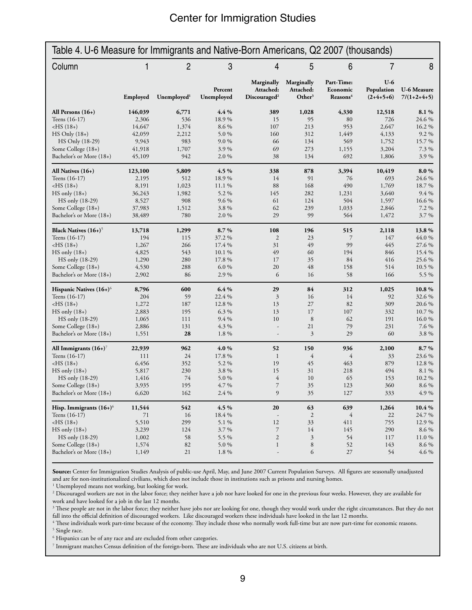| Table 4. U-6 Measure for Immigrants and Native-Born Americans, Q2 2007 (thousands) |                |                         |                       |                                                     |                                               |                                                |                                    |                                     |
|------------------------------------------------------------------------------------|----------------|-------------------------|-----------------------|-----------------------------------------------------|-----------------------------------------------|------------------------------------------------|------------------------------------|-------------------------------------|
| Column                                                                             | 1              | 2                       | 3                     | 4                                                   | 5                                             | 6                                              | 7                                  | 8                                   |
|                                                                                    | Employed       | Unemployed <sup>1</sup> | Percent<br>Unemployed | Marginally<br>Attached:<br>Discouraged <sup>2</sup> | Marginally<br>Attached:<br>Other <sup>3</sup> | Part-Time:<br>Economic<br>Reasons <sup>4</sup> | $U-6$<br>Population<br>$(2+4+5+6)$ | <b>U-6 Measure</b><br>$7/(1+2+4+5)$ |
| All Persons $(16+)$                                                                | 146,039        | 6,771                   | 4.4%                  | 389                                                 | 1,028                                         | 4,330                                          | 12,518                             | 8.1%                                |
| Teens (16-17)                                                                      | 2,306          | 536                     | 18.9%                 | 15                                                  | 95                                            | 80                                             | 726                                | 24.6 %                              |
| $-HS(18+)$                                                                         | 14,647         | 1,374                   | 8.6 %                 | 107                                                 | 213                                           | 953                                            | 2,647                              | 16.2%                               |
| $HS$ Only $(18+)$                                                                  | 42,059         | 2,212                   | 5.0%                  | 160                                                 | 312                                           | 1,449                                          | 4,133                              | 9.2%                                |
| HS Only (18-29)                                                                    | 9,943          | 983                     | $9.0\%$               | 66                                                  | 134                                           | 569                                            | 1,752                              | 15.7%                               |
| Some College (18+)                                                                 | 41,918         | 1,707                   | 3.9%                  | 69                                                  | 273                                           | 1,155                                          | 3,204                              | 7.3 %                               |
| Bachelor's or More (18+)                                                           | 45,109         | 942                     | 2.0%                  | 38                                                  | 134                                           | 692                                            | 1,806                              | 3.9%                                |
| All Natives $(16+)$                                                                | 123,100        | 5,809                   | 4.5%                  | 338                                                 | 878                                           | 3,394                                          | 10,419                             | 8.0%                                |
| Teens (16-17)                                                                      | 2,195          | 512                     | 18.9%                 | 14                                                  | 91                                            | 76                                             | 693                                | 24.6 %                              |
| $-HS(18+)$                                                                         | 8,191          | 1,023                   | 11.1 %                | 88                                                  | 168                                           | 490                                            | 1,769                              | 18.7%                               |
| $HS$ only $(18+)$                                                                  | 36,243         | 1,982                   | 5.2 %                 | 145                                                 | 282                                           | 1,231                                          | 3,640                              | $9.4\%$                             |
| HS only (18-29)                                                                    | 8,527          | 908                     | $9.6\%$               | 61                                                  | 124                                           | 504                                            | 1,597                              | 16.6%                               |
| Some College (18+)                                                                 | 37,983         | 1,512                   | 3.8%                  | 62                                                  | 239                                           | 1,033                                          | 2,846                              | 7.2 %                               |
| Bachelor's or More (18+)                                                           | 38,489         | 780                     | 2.0%                  | 29                                                  | 99                                            | 564                                            | 1,472                              | 3.7%                                |
| Black Natives $(16+)^5$                                                            | 13,718         | 1,299                   | 8.7%                  | 108                                                 | 196                                           | 515                                            | 2,118                              | 13.8%                               |
| Teens (16-17)                                                                      | 194            | 115                     | 37.2 %                | $\overline{c}$                                      | 23                                            | $\overline{7}$                                 | 147                                | 44.0 %                              |
| $-HS(18+)$                                                                         | 1,267          | 266                     | 17.4 %                | 31                                                  | 49                                            | 99                                             | 445                                | 27.6 %                              |
| $HS$ only $(18+)$                                                                  | 4,825          | 543                     | 10.1%                 | 49                                                  | 60                                            | 194                                            | 846                                | 15.4 %                              |
| HS only (18-29)                                                                    | 1,290          | 280                     | 17.8 %                | 17                                                  | 35                                            | 84                                             | 416                                | 25.6 %                              |
| Some College (18+)                                                                 | 4,530          | 288                     | 6.0%                  | 20                                                  | 48                                            | 158                                            | 514                                | 10.5 %                              |
| Bachelor's or More (18+)                                                           | 2,902          | 86                      | 2.9%                  | 6                                                   | 16                                            | 58                                             | 166                                | 5.5 %                               |
| Hispanic Natives (16+) <sup>6</sup>                                                | 8,796          | 600                     | 6.4%                  | 29                                                  | 84                                            | 312                                            | 1,025                              | 10.8%                               |
| Teens (16-17)                                                                      | 204            | 59                      | 22.4 %                | 3                                                   | 16                                            | 14                                             | 92                                 | 32.6 %                              |
| $-HS(18+)$                                                                         | 1,272          | 187                     | 12.8 %                | 13                                                  | 27                                            | 82                                             | 309                                | 20.6 %                              |
| $HS$ only $(18+)$                                                                  | 2,883          | 195                     | 6.3 %                 | 13                                                  | 17                                            | 107                                            | 332                                | 10.7%                               |
| HS only (18-29)                                                                    | 1,065          | 111                     | 9.4 %                 | 10                                                  | 8                                             | 62                                             | 191                                | 16.0%                               |
| Some College (18+)<br>Bachelor's or More (18+)                                     | 2,886<br>1,551 | 131<br>28               | 4.3 %<br>1.8%         | $\overline{a}$<br>$\overline{\phantom{a}}$          | 21<br>3                                       | 79<br>29                                       | 231<br>60                          | 7.6 %<br>3.8%                       |
|                                                                                    |                |                         |                       |                                                     |                                               |                                                |                                    |                                     |
| All Immigrants $(16+)$<br>Teens $(16-17)$                                          | 22,939<br>111  | 962<br>24               | 4.0%<br>17.8 %        | 52<br>$\mathbf{1}$                                  | 150<br>4                                      | 936<br>$\overline{4}$                          | 2,100<br>33                        | 8.7%<br>23.6 %                      |
| $-HS(18+)$                                                                         | 6,456          | 352                     | 5.2 %                 | 19                                                  | 45                                            | 463                                            | 879                                | 12.8 %                              |
| $HS$ only $(18+)$                                                                  | 5,817          | 230                     | 3.8%                  | 15                                                  | 31                                            | 218                                            | 494                                | 8.1 %                               |
| HS only (18-29)                                                                    | 1,416          | 74                      | 5.0%                  | $\overline{4}$                                      | 10                                            | 65                                             | 153                                | 10.2%                               |
| Some College (18+)                                                                 | 3,935          | 195                     | 4.7%                  | 7                                                   | 35                                            | 123                                            | 360                                | $8.6\;\%$                           |
| Bachelor's or More (18+)                                                           | 6,620          | 162                     | 2.4 %                 | 9                                                   | 35                                            | 127                                            | 333                                | 4.9%                                |
| Hisp. Immigrants $(16+)$ <sup>6</sup>                                              | 11,544         | 542                     | 4.5%                  | 20                                                  | 63                                            | 639                                            | 1,264                              | 10.4 %                              |
| Teens (16-17)                                                                      | 71             | 16                      | 18.4 %                | $\overline{\phantom{a}}$                            | $\overline{2}$                                | $\overline{4}$                                 | 22                                 | 24.7 %                              |
| $-HS(18+)$                                                                         | 5,510          | 299                     | 5.1 %                 | 12                                                  | 33                                            | 411                                            | 755                                | 12.9%                               |
| $HS only (18+)$                                                                    | 3,239          | 124                     | 3.7%                  | $\boldsymbol{7}$                                    | 14                                            | 145                                            | 290                                | 8.6 %                               |
| HS only (18-29)                                                                    | 1,002          | 58                      | 5.5 %                 | $\overline{c}$                                      | 3                                             | 54                                             | 117                                | 11.0%                               |
| Some College (18+)                                                                 | 1,574          | 82                      | 5.0%                  | $\mathbf{1}$                                        | 8                                             | 52                                             | 143                                | 8.6 %                               |
| Bachelor's or More (18+)                                                           | 1,149          | 21                      | 1.8%                  | $\overline{\phantom{a}}$                            | 6                                             | 27                                             | 54                                 | 4.6 %                               |
|                                                                                    |                |                         |                       |                                                     |                                               |                                                |                                    |                                     |

**Source:** Center for Immigration Studies Analysis of public-use April, May, and June 2007 Current Population Surveys. All figures are seasonally unadjusted and are for non-institutionalized civilians, which does not include those in institutions such as prisons and nursing homes. 1

<sup>1</sup> Unemployed means not working, but looking for work.

<sup>2</sup> Discouraged workers are not in the labor force; they neither have a job nor have looked for one in the previous four weeks. However, they are available for work and have looked for a job in the last 12 months.

 $3$  These people are not in the labor force; they neither have jobs nor are looking for one, though they would work under the right circumstances. But they do not fall into the official definition of discouraged workers. Like discouraged workers these individuals have looked in the last 12 months.

4 These individuals work part-time because of the economy. They include those who normally work full-time but are now part-time for economic reasons. <sup>5</sup> Single race.

6 Hispanics can be of any race and are excluded from other categories.

7 Immigrant matches Census definition of the foreign-born. These are individuals who are not U.S. citizens at birth.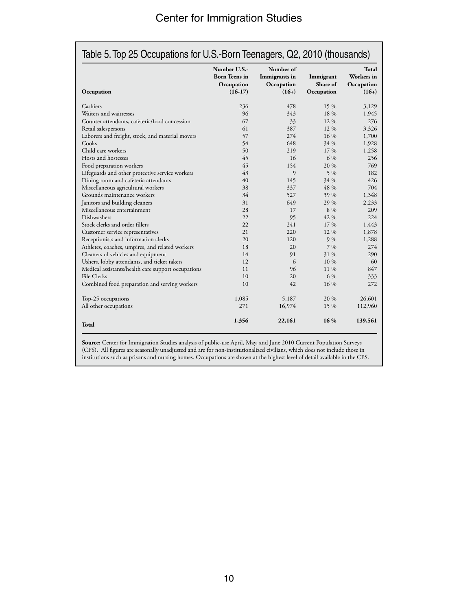| Occupation                                         | Number U.S.-<br><b>Born</b> Teens in<br>Occupation<br>$(16-17)$ | Number of<br>Immigrants in<br>Occupation<br>$(16+)$ | Immigrant<br>Share of<br>Occupation | Total<br>Workers in<br>Occupation<br>$(16+)$ |
|----------------------------------------------------|-----------------------------------------------------------------|-----------------------------------------------------|-------------------------------------|----------------------------------------------|
| Cashiers                                           | 236                                                             | 478                                                 | 15 %                                | 3,129                                        |
| Waiters and waitresses                             | 96                                                              | 343                                                 | 18 %                                | 1,945                                        |
| Counter attendants, cafeteria/food concession      | 67                                                              | 33                                                  | $12\%$                              | 276                                          |
| Retail salespersons                                | 61                                                              | 387                                                 | 12 %                                | 3,326                                        |
| Laborers and freight, stock, and material movers   | 57                                                              | 274                                                 | $16\%$                              | 1,700                                        |
| Cooks                                              | 54                                                              | 648                                                 | 34 %                                | 1,928                                        |
| Child care workers                                 | 50                                                              | 219                                                 | 17 %                                | 1,258                                        |
| Hosts and hostesses                                | 45                                                              | 16                                                  | 6 %                                 | 256                                          |
| Food preparation workers                           | 45                                                              | 154                                                 | 20 %                                | 769                                          |
| Lifeguards and other protective service workers    | 43                                                              | 9                                                   | $5\%$                               | 182                                          |
| Dining room and cafeteria attendants               | 40                                                              | 145                                                 | 34 %                                | 426                                          |
| Miscellaneous agricultural workers                 | 38                                                              | 337                                                 | 48 %                                | 704                                          |
| Grounds maintenance workers                        | 34                                                              | 527                                                 | 39 %                                | 1,348                                        |
| Janitors and building cleaners                     | 31                                                              | 649                                                 | 29 %                                | 2,233                                        |
| Miscellaneous entertainment                        | 28                                                              | 17                                                  | 8 %                                 | 209                                          |
| <b>Dishwashers</b>                                 | 22.                                                             | 95                                                  | 42 %                                | 224                                          |
| Stock clerks and order fillers                     | 22                                                              | 241                                                 | 17 %                                | 1,443                                        |
| Customer service representatives                   | 21                                                              | 220                                                 | $12\%$                              | 1,878                                        |
| Receptionists and information clerks               | 20                                                              | 120                                                 | 9%                                  | 1,288                                        |
| Athletes, coaches, umpires, and related workers    | 18                                                              | 20                                                  | $7\%$                               | 274                                          |
| Cleaners of vehicles and equipment                 | 14                                                              | 91                                                  | 31 %                                | 290                                          |
| Ushers, lobby attendants, and ticket takers        | 12                                                              | 6                                                   | 10 %                                | 60                                           |
| Medical assistants/health care support occupations | 11                                                              | 96                                                  | 11 %                                | 847                                          |
| File Clerks                                        | 10                                                              | 20                                                  | 6 %                                 | 333                                          |
| Combined food preparation and serving workers      | 10                                                              | 42                                                  | 16 %                                | 272                                          |
| Top-25 occupations                                 | 1,085                                                           | 5,187                                               | 20 %                                | 26,601                                       |
| All other occupations                              | 271                                                             | 16,974                                              | 15 %                                | 112,960                                      |
| Total                                              | 1,356                                                           | 22,161                                              | 16 %                                | 139,561                                      |

**Source:** Center for Immigration Studies analysis of public-use April, May, and June 2010 Current Population Surveys (CPS). All figures are seasonally unadjusted and are for non-institutionalized civilians, which does not include those in institutions such as prisons and nursing homes. Occupations are shown at the highest level of detail available in the CPS.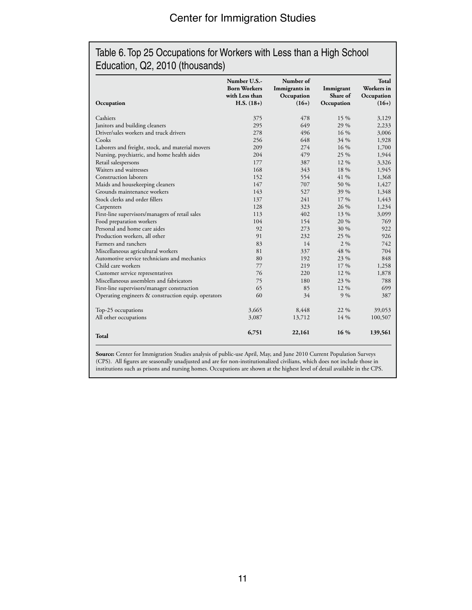#### Table 6. Top 25 Occupations for Workers with Less than a High School Education, Q2, 2010 (thousands)

| Occupation                                          | Number U.S.-<br><b>Born Workers</b><br>with Less than<br>$H.S. (18+)$ | Number of<br>Immigrants in<br>Occupation<br>$(16+)$ | Immigrant<br>Share of<br>Occupation | Total<br>Workers in<br>Occupation<br>$(16+)$ |
|-----------------------------------------------------|-----------------------------------------------------------------------|-----------------------------------------------------|-------------------------------------|----------------------------------------------|
| Cashiers                                            | 375                                                                   | 478                                                 | 15 %                                | 3,129                                        |
| Janitors and building cleaners                      | 295                                                                   | 649                                                 | 29 %                                | 2,233                                        |
| Driver/sales workers and truck drivers              | 278                                                                   | 496                                                 | 16 %                                | 3,006                                        |
| Cooks                                               | 256                                                                   | 648                                                 | 34 %                                | 1,928                                        |
| Laborers and freight, stock, and material movers    | 209                                                                   | 274                                                 | 16 %                                | 1,700                                        |
| Nursing, psychiatric, and home health aides         | 204                                                                   | 479                                                 | 25 %                                | 1,944                                        |
| Retail salespersons                                 | 177                                                                   | 387                                                 | 12 %                                | 3,326                                        |
| Waiters and waitresses                              | 168                                                                   | 343                                                 | 18 %                                | 1,945                                        |
| <b>Construction laborers</b>                        | 152                                                                   | 554                                                 | 41 %                                | 1,368                                        |
| Maids and housekeeping cleaners                     | 147                                                                   | 707                                                 | 50 %                                | 1,427                                        |
| Grounds maintenance workers                         | 143                                                                   | 527                                                 | 39 %                                | 1,348                                        |
| Stock clerks and order fillers                      | 137                                                                   | 241                                                 | 17 %                                | 1,443                                        |
| Carpenters                                          | 128                                                                   | 323                                                 | 26 %                                | 1,234                                        |
| First-line supervisors/managers of retail sales     | 113                                                                   | 402                                                 | 13 %                                | 3,099                                        |
| Food preparation workers                            | 104                                                                   | 154                                                 | 20 %                                | 769                                          |
| Personal and home care aides                        | 92                                                                    | 273                                                 | 30 %                                | 922                                          |
| Production workers, all other                       | 91                                                                    | 232                                                 | 25 %                                | 926                                          |
| Farmers and ranchers                                | 83                                                                    | 14                                                  | $2\%$                               | 742                                          |
| Miscellaneous agricultural workers                  | 81                                                                    | 337                                                 | 48 %                                | 704                                          |
| Automotive service technicians and mechanics        | 80                                                                    | 192                                                 | 23 %                                | 848                                          |
| Child care workers                                  | 77                                                                    | 219                                                 | 17 %                                | 1,258                                        |
| Customer service representatives                    | 76                                                                    | 220                                                 | 12 %                                | 1,878                                        |
| Miscellaneous assemblers and fabricators            | 75                                                                    | 180                                                 | 23 %                                | 788                                          |
| First-line supervisors/manager construction         | 65                                                                    | 85                                                  | 12 %                                | 699                                          |
| Operating engineers & construction equip. operators | 60                                                                    | 34                                                  | 9%                                  | 387                                          |
| Top-25 occupations                                  | 3,665                                                                 | 8,448                                               | 22 %                                | 39,053                                       |
| All other occupations                               | 3,087                                                                 | 13,712                                              | 14 %                                | 100,507                                      |
| <b>Total</b>                                        | 6,751                                                                 | 22,161                                              | 16 %                                | 139,561                                      |

**Source:** Center for Immigration Studies analysis of public-use April, May, and June 2010 Current Population Surveys (CPS). All figures are seasonally unadjusted and are for non-institutionalized civilians, which does not include those in institutions such as prisons and nursing homes. Occupations are shown at the highest level of detail available in the CPS.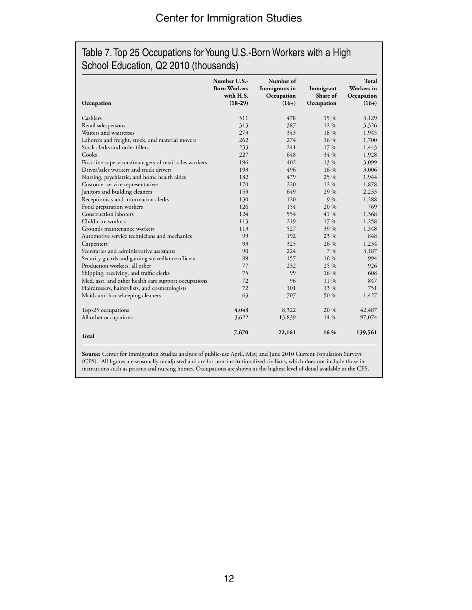#### Table 7. Top 25 Occupations for Young U.S.-Born Workers with a High School Education, Q2 2010 (thousands)

| Occupation                                              | Number U.S.-<br><b>Born Workers</b><br>with H.S.<br>$(18-29)$ | Number of<br>Immigrants in<br>Occupation<br>$(16+)$ | Immigrant<br>Share of<br>Occupation | Total<br>Workers in<br>Occupation<br>$(16+)$ |
|---------------------------------------------------------|---------------------------------------------------------------|-----------------------------------------------------|-------------------------------------|----------------------------------------------|
| Cashiers                                                | 511                                                           | 478                                                 | 15 %                                | 3,129                                        |
| Retail salespersons                                     | 313                                                           | 387                                                 | 12 %                                | 3,326                                        |
| Waiters and waitresses                                  | 273                                                           | 343                                                 | 18 %                                | 1,945                                        |
| Laborers and freight, stock, and material movers        | 262                                                           | 274                                                 | 16 %                                | 1,700                                        |
| Stock clerks and order fillers                          | 233                                                           | 241                                                 | 17 %                                | 1,443                                        |
| Cooks                                                   | 227                                                           | 648                                                 | 34 %                                | 1,928                                        |
| First-line supervisors/managers of retail sales workers | 196                                                           | 402                                                 | 13 %                                | 3,099                                        |
| Driver/sales workers and truck drivers                  | 193                                                           | 496                                                 | 16 %                                | 3,006                                        |
| Nursing, psychiatric, and home health aides             | 182                                                           | 479                                                 | 25 %                                | 1,944                                        |
| Customer service representatives                        | 170                                                           | 220                                                 | 12 %                                | 1,878                                        |
| Janitors and building cleaners                          | 153                                                           | 649                                                 | 29 %                                | 2,233                                        |
| Receptionists and information clerks                    | 130                                                           | 120                                                 | $9\%$                               | 1,288                                        |
| Food preparation workers                                | 126                                                           | 154                                                 | 20 %                                | 769                                          |
| Construction laborers                                   | 124                                                           | 554                                                 | 41 %                                | 1,368                                        |
| Child care workers                                      | 113                                                           | 219                                                 | 17 %                                | 1,258                                        |
| Grounds maintenance workers                             | 113                                                           | 527                                                 | 39 %                                | 1,348                                        |
| Automotive service technicians and mechanics            | 99                                                            | 192                                                 | 23 %                                | 848                                          |
| Carpenters                                              | 93                                                            | 323                                                 | 26 %                                | 1,234                                        |
| Secretaries and administrative assistants               | 90                                                            | 224                                                 | $7\%$                               | 3,187                                        |
| Security guards and gaming surveillance officers        | 89                                                            | 157                                                 | 16 %                                | 994                                          |
| Production workers, all other                           | 77                                                            | 232                                                 | 25 %                                | 926                                          |
| Shipping, receiving, and traffic clerks                 | 75                                                            | 99                                                  | 16 %                                | 608                                          |
| Med. asst. and other health care support occupations    | 72                                                            | 96                                                  | 11 %                                | 847                                          |
| Hairdressers, hairstylists, and cosmetologists          | 72                                                            | 101                                                 | 13 %                                | 751                                          |
| Maids and housekeeping cleaners                         | 63                                                            | 707                                                 | 50 %                                | 1,427                                        |
| Top-25 occupations                                      | 4,048                                                         | 8,322                                               | 20 %                                | 42,487                                       |
| All other occupations                                   | 3,622                                                         | 13,839                                              | 14 %                                | 97,074                                       |
| Total                                                   | 7,670                                                         | 22,161                                              | 16 %                                | 139,561                                      |

**Source:** Center for Immigration Studies analysis of public-use April, May, and June 2010 Current Population Surveys (CPS). All figures are seasonally unadjusted and are for non-institutionalized civilians, which does not include those in institutions such as prisons and nursing homes. Occupations are shown at the highest level of detail available in the CPS.